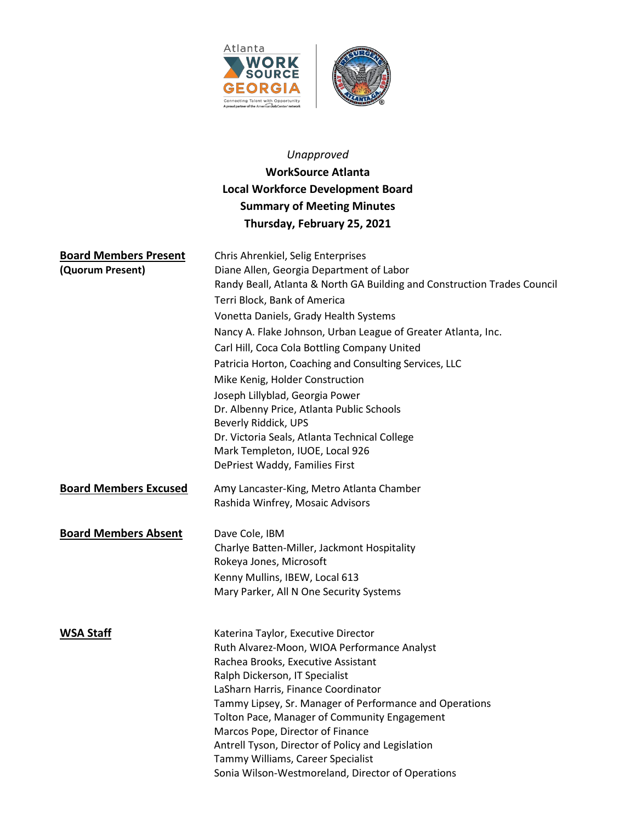



# *Unapproved* **WorkSource Atlanta Local Workforce Development Board Summary of Meeting Minutes Thursday, February 25, 2021**

| <b>Board Members Present</b> | Chris Ahrenkiel, Selig Enterprises                                                                      |
|------------------------------|---------------------------------------------------------------------------------------------------------|
| (Quorum Present)             | Diane Allen, Georgia Department of Labor                                                                |
|                              | Randy Beall, Atlanta & North GA Building and Construction Trades Council                                |
|                              | Terri Block, Bank of America                                                                            |
|                              | Vonetta Daniels, Grady Health Systems                                                                   |
|                              | Nancy A. Flake Johnson, Urban League of Greater Atlanta, Inc.                                           |
|                              | Carl Hill, Coca Cola Bottling Company United                                                            |
|                              | Patricia Horton, Coaching and Consulting Services, LLC                                                  |
|                              | Mike Kenig, Holder Construction                                                                         |
|                              | Joseph Lillyblad, Georgia Power                                                                         |
|                              | Dr. Albenny Price, Atlanta Public Schools                                                               |
|                              | Beverly Riddick, UPS                                                                                    |
|                              | Dr. Victoria Seals, Atlanta Technical College                                                           |
|                              | Mark Templeton, IUOE, Local 926                                                                         |
|                              | DePriest Waddy, Families First                                                                          |
| <b>Board Members Excused</b> | Amy Lancaster-King, Metro Atlanta Chamber                                                               |
|                              | Rashida Winfrey, Mosaic Advisors                                                                        |
|                              |                                                                                                         |
| <b>Board Members Absent</b>  | Dave Cole, IBM                                                                                          |
|                              | Charlye Batten-Miller, Jackmont Hospitality                                                             |
|                              | Rokeya Jones, Microsoft                                                                                 |
|                              | Kenny Mullins, IBEW, Local 613                                                                          |
|                              | Mary Parker, All N One Security Systems                                                                 |
|                              |                                                                                                         |
| <b>WSA Staff</b>             | Katerina Taylor, Executive Director                                                                     |
|                              | Ruth Alvarez-Moon, WIOA Performance Analyst                                                             |
|                              | Rachea Brooks, Executive Assistant                                                                      |
|                              | Ralph Dickerson, IT Specialist                                                                          |
|                              | LaSharn Harris, Finance Coordinator                                                                     |
|                              | Tammy Lipsey, Sr. Manager of Performance and Operations<br>Tolton Pace, Manager of Community Engagement |
|                              | Marcos Pope, Director of Finance                                                                        |
|                              | Antrell Tyson, Director of Policy and Legislation                                                       |
|                              | Tammy Williams, Career Specialist                                                                       |
|                              | Sonia Wilson-Westmoreland, Director of Operations                                                       |
|                              |                                                                                                         |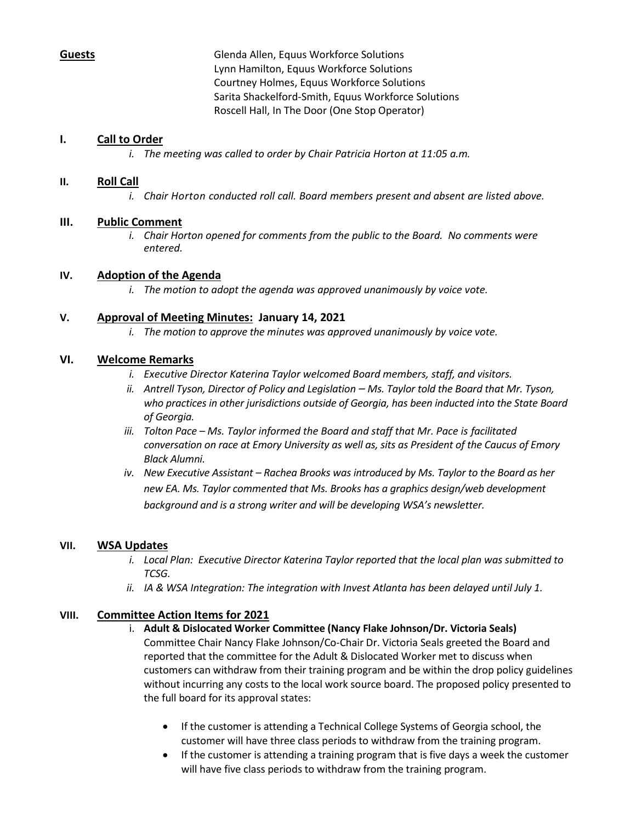**Guests** Glenda Allen, Equus Workforce Solutions Lynn Hamilton, Equus Workforce Solutions Courtney Holmes, Equus Workforce Solutions Sarita Shackelford-Smith, Equus Workforce Solutions Roscell Hall, In The Door (One Stop Operator)

# **I. Call to Order**

*i. The meeting was called to order by Chair Patricia Horton at 11:05 a.m.*

# **II. Roll Call**

*i. Chair Horton conducted roll call. Board members present and absent are listed above.*

# **III. Public Comment**

*i. Chair Horton opened for comments from the public to the Board. No comments were entered.*

# **IV. Adoption of the Agenda**

*i. The motion to adopt the agenda was approved unanimously by voice vote.*

# **V. Approval of Meeting Minutes: January 14, 2021**

*i. The motion to approve the minutes was approved unanimously by voice vote.*

# **VI. Welcome Remarks**

- *i. Executive Director Katerina Taylor welcomed Board members, staff, and visitors.*
- *ii. Antrell Tyson, Director of Policy and Legislation – Ms. Taylor told the Board that Mr. Tyson, who practices in other jurisdictions outside of Georgia, has been inducted into the State Board of Georgia.*
- *iii. Tolton Pace – Ms. Taylor informed the Board and staff that Mr. Pace is facilitated conversation on race at Emory University as well as, sits as President of the Caucus of Emory Black Alumni.*
- *iv. New Executive Assistant – Rachea Brooks was introduced by Ms. Taylor to the Board as her new EA. Ms. Taylor commented that Ms. Brooks has a graphics design/web development background and is a strong writer and will be developing WSA's newsletter.*

# **VII. WSA Updates**

- *i. Local Plan: Executive Director Katerina Taylor reported that the local plan was submitted to TCSG.*
- *ii. IA & WSA Integration: The integration with Invest Atlanta has been delayed until July 1.*

# **VIII. Committee Action Items for 2021**

#### i. **Adult & Dislocated Worker Committee (Nancy Flake Johnson/Dr. Victoria Seals)**

Committee Chair Nancy Flake Johnson/Co-Chair Dr. Victoria Seals greeted the Board and reported that the committee for the Adult & Dislocated Worker met to discuss when customers can withdraw from their training program and be within the drop policy guidelines without incurring any costs to the local work source board. The proposed policy presented to the full board for its approval states:

- If the customer is attending a Technical College Systems of Georgia school, the customer will have three class periods to withdraw from the training program.
- If the customer is attending a training program that is five days a week the customer will have five class periods to withdraw from the training program.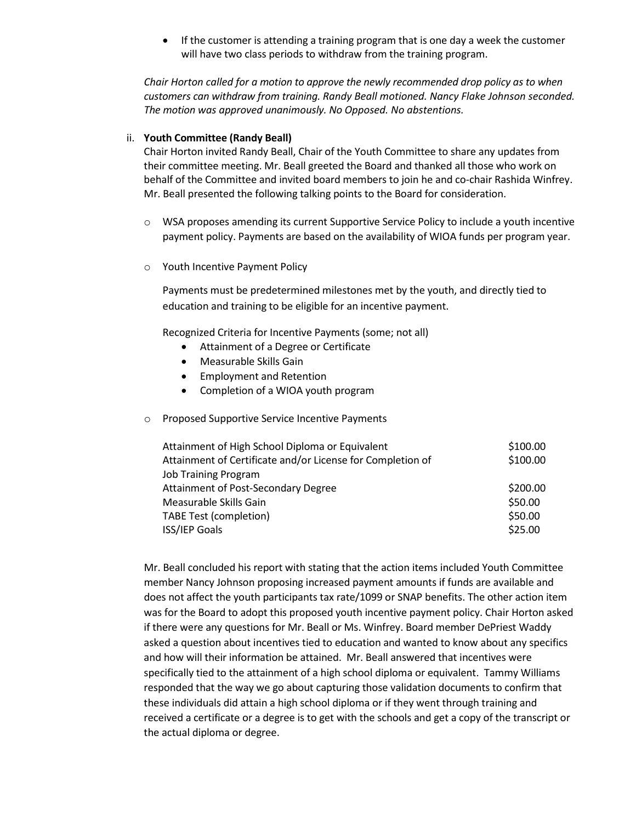• If the customer is attending a training program that is one day a week the customer will have two class periods to withdraw from the training program.

*Chair Horton called for a motion to approve the newly recommended drop policy as to when customers can withdraw from training. Randy Beall motioned. Nancy Flake Johnson seconded. The motion was approved unanimously. No Opposed. No abstentions.*

#### ii. **Youth Committee (Randy Beall)**

Chair Horton invited Randy Beall, Chair of the Youth Committee to share any updates from their committee meeting. Mr. Beall greeted the Board and thanked all those who work on behalf of the Committee and invited board members to join he and co-chair Rashida Winfrey. Mr. Beall presented the following talking points to the Board for consideration.

- $\circ$  WSA proposes amending its current Supportive Service Policy to include a youth incentive payment policy. Payments are based on the availability of WIOA funds per program year.
- o Youth Incentive Payment Policy

Payments must be predetermined milestones met by the youth, and directly tied to education and training to be eligible for an incentive payment.

Recognized Criteria for Incentive Payments (some; not all)

- Attainment of a Degree or Certificate
- Measurable Skills Gain
- Employment and Retention
- Completion of a WIOA youth program
- o Proposed Supportive Service Incentive Payments

| Attainment of High School Diploma or Equivalent<br>Attainment of Certificate and/or License for Completion of | \$100.00<br>\$100.00 |
|---------------------------------------------------------------------------------------------------------------|----------------------|
| <b>Job Training Program</b>                                                                                   |                      |
| <b>Attainment of Post-Secondary Degree</b>                                                                    | \$200.00             |
| Measurable Skills Gain                                                                                        | \$50.00              |
| TABE Test (completion)                                                                                        | \$50.00              |
| <b>ISS/IEP Goals</b>                                                                                          | \$25.00              |

Mr. Beall concluded his report with stating that the action items included Youth Committee member Nancy Johnson proposing increased payment amounts if funds are available and does not affect the youth participants tax rate/1099 or SNAP benefits. The other action item was for the Board to adopt this proposed youth incentive payment policy. Chair Horton asked if there were any questions for Mr. Beall or Ms. Winfrey. Board member DePriest Waddy asked a question about incentives tied to education and wanted to know about any specifics and how will their information be attained. Mr. Beall answered that incentives were specifically tied to the attainment of a high school diploma or equivalent. Tammy Williams responded that the way we go about capturing those validation documents to confirm that these individuals did attain a high school diploma or if they went through training and received a certificate or a degree is to get with the schools and get a copy of the transcript or the actual diploma or degree.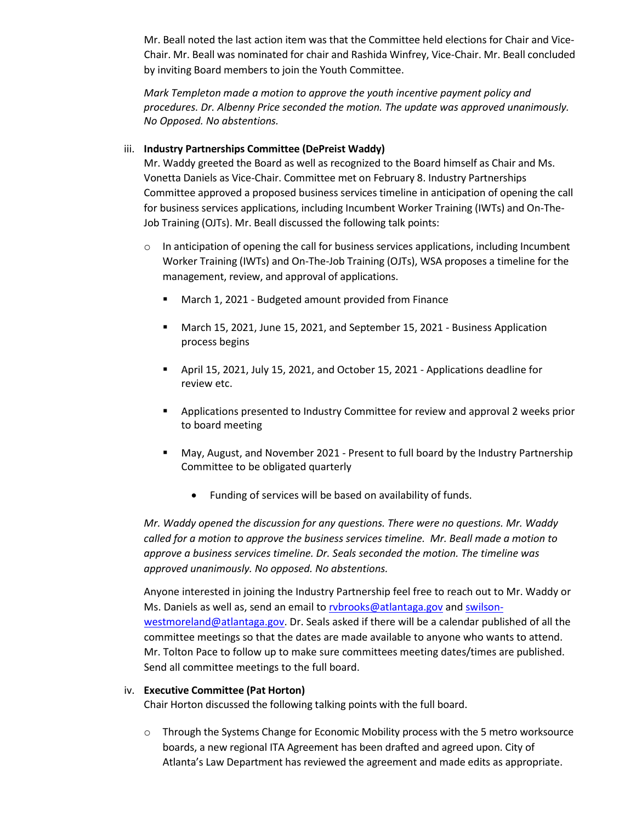Mr. Beall noted the last action item was that the Committee held elections for Chair and Vice-Chair. Mr. Beall was nominated for chair and Rashida Winfrey, Vice-Chair. Mr. Beall concluded by inviting Board members to join the Youth Committee.

*Mark Templeton made a motion to approve the youth incentive payment policy and procedures. Dr. Albenny Price seconded the motion. The update was approved unanimously. No Opposed. No abstentions.*

### iii. **Industry Partnerships Committee (DePreist Waddy)**

Mr. Waddy greeted the Board as well as recognized to the Board himself as Chair and Ms. Vonetta Daniels as Vice-Chair. Committee met on February 8. Industry Partnerships Committee approved a proposed business services timeline in anticipation of opening the call for business services applications, including Incumbent Worker Training (IWTs) and On-The-Job Training (OJTs). Mr. Beall discussed the following talk points:

- $\circ$  In anticipation of opening the call for business services applications, including Incumbent Worker Training (IWTs) and On-The-Job Training (OJTs), WSA proposes a timeline for the management, review, and approval of applications.
	- **March 1, 2021 Budgeted amount provided from Finance**
	- March 15, 2021, June 15, 2021, and September 15, 2021 Business Application process begins
	- April 15, 2021, July 15, 2021, and October 15, 2021 Applications deadline for review etc.
	- Applications presented to Industry Committee for review and approval 2 weeks prior to board meeting
	- May, August, and November 2021 Present to full board by the Industry Partnership Committee to be obligated quarterly
		- Funding of services will be based on availability of funds.

*Mr. Waddy opened the discussion for any questions. There were no questions. Mr. Waddy*  called for a motion to approve the business services timeline. Mr. Beall made a motion to *approve a business services timeline. Dr. Seals seconded the motion. The timeline was approved unanimously. No opposed. No abstentions.*

Anyone interested in joining the Industry Partnership feel free to reach out to Mr. Waddy or Ms. Daniels as well as, send an email to rybrooks@atlantaga.gov and [swilson](mailto:swilson-westmoreland@atlantaga.gov)[westmoreland@atlantaga.gov.](mailto:swilson-westmoreland@atlantaga.gov) Dr. Seals asked if there will be a calendar published of all the committee meetings so that the dates are made available to anyone who wants to attend. Mr. Tolton Pace to follow up to make sure committees meeting dates/times are published. Send all committee meetings to the full board.

#### iv. **Executive Committee (Pat Horton)**

Chair Horton discussed the following talking points with the full board.

o Through the Systems Change for Economic Mobility process with the 5 metro worksource boards, a new regional ITA Agreement has been drafted and agreed upon. City of Atlanta's Law Department has reviewed the agreement and made edits as appropriate.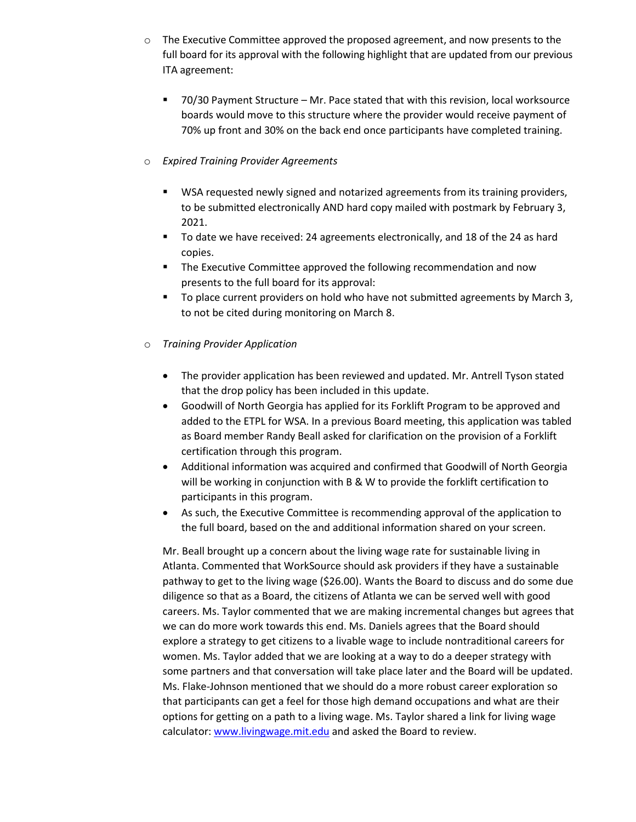- $\circ$  The Executive Committee approved the proposed agreement, and now presents to the full board for its approval with the following highlight that are updated from our previous ITA agreement:
	- 70/30 Payment Structure Mr. Pace stated that with this revision, local worksource boards would move to this structure where the provider would receive payment of 70% up front and 30% on the back end once participants have completed training.

# o *Expired Training Provider Agreements*

- **WISA requested newly signed and notarized agreements from its training providers,** to be submitted electronically AND hard copy mailed with postmark by February 3, 2021.
- **The date we have received: 24 agreements electronically, and 18 of the 24 as hard** copies.
- **The Executive Committee approved the following recommendation and now** presents to the full board for its approval:
- To place current providers on hold who have not submitted agreements by March 3, to not be cited during monitoring on March 8.
- o *Training Provider Application*
	- The provider application has been reviewed and updated. Mr. Antrell Tyson stated that the drop policy has been included in this update.
	- Goodwill of North Georgia has applied for its Forklift Program to be approved and added to the ETPL for WSA. In a previous Board meeting, this application was tabled as Board member Randy Beall asked for clarification on the provision of a Forklift certification through this program.
	- Additional information was acquired and confirmed that Goodwill of North Georgia will be working in conjunction with B & W to provide the forklift certification to participants in this program.
	- As such, the Executive Committee is recommending approval of the application to the full board, based on the and additional information shared on your screen.

Mr. Beall brought up a concern about the living wage rate for sustainable living in Atlanta. Commented that WorkSource should ask providers if they have a sustainable pathway to get to the living wage (\$26.00). Wants the Board to discuss and do some due diligence so that as a Board, the citizens of Atlanta we can be served well with good careers. Ms. Taylor commented that we are making incremental changes but agrees that we can do more work towards this end. Ms. Daniels agrees that the Board should explore a strategy to get citizens to a livable wage to include nontraditional careers for women. Ms. Taylor added that we are looking at a way to do a deeper strategy with some partners and that conversation will take place later and the Board will be updated. Ms. Flake-Johnson mentioned that we should do a more robust career exploration so that participants can get a feel for those high demand occupations and what are their options for getting on a path to a living wage. Ms. Taylor shared a link for living wage calculator: [www.livingwage.mit.edu](http://www.livingwage.mit.edu/) and asked the Board to review.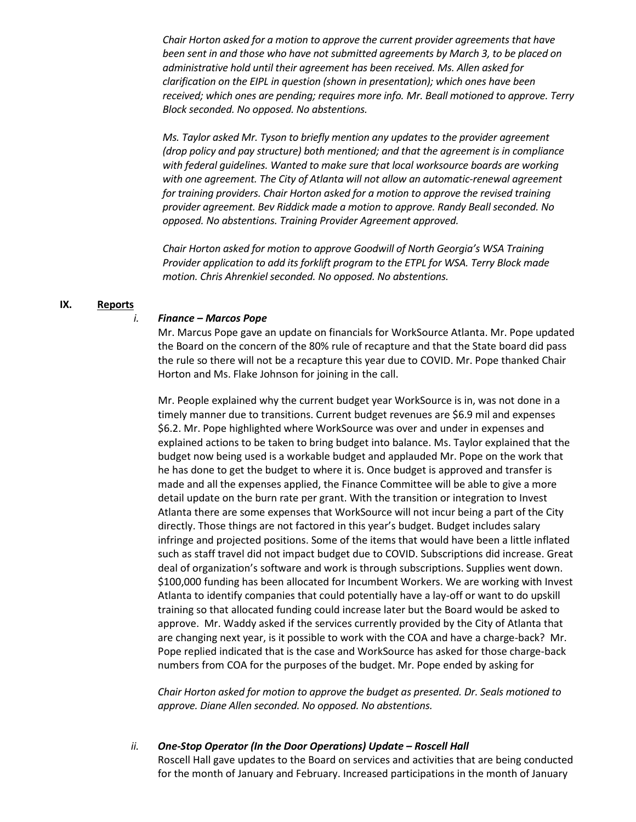*Chair Horton asked for a motion to approve the current provider agreements that have been sent in and those who have not submitted agreements by March 3, to be placed on administrative hold until their agreement has been received. Ms. Allen asked for clarification on the EIPL in question (shown in presentation); which ones have been received; which ones are pending; requires more info. Mr. Beall motioned to approve. Terry Block seconded. No opposed. No abstentions.*

*Ms. Taylor asked Mr. Tyson to briefly mention any updates to the provider agreement (drop policy and pay structure) both mentioned; and that the agreement is in compliance with federal guidelines. Wanted to make sure that local worksource boards are working*  with one agreement. The City of Atlanta will not allow an automatic-renewal agreement *for training providers. Chair Horton asked for a motion to approve the revised training provider agreement. Bev Riddick made a motion to approve. Randy Beall seconded. No opposed. No abstentions. Training Provider Agreement approved.*

*Chair Horton asked for motion to approve Goodwill of North Georgia's WSA Training Provider application to add its forklift program to the ETPL for WSA. Terry Block made motion. Chris Ahrenkiel seconded. No opposed. No abstentions.*

# **IX. Reports**

#### *i. Finance – Marcos Pope*

Mr. Marcus Pope gave an update on financials for WorkSource Atlanta. Mr. Pope updated the Board on the concern of the 80% rule of recapture and that the State board did pass the rule so there will not be a recapture this year due to COVID. Mr. Pope thanked Chair Horton and Ms. Flake Johnson for joining in the call.

Mr. People explained why the current budget year WorkSource is in, was not done in a timely manner due to transitions. Current budget revenues are \$6.9 mil and expenses \$6.2. Mr. Pope highlighted where WorkSource was over and under in expenses and explained actions to be taken to bring budget into balance. Ms. Taylor explained that the budget now being used is a workable budget and applauded Mr. Pope on the work that he has done to get the budget to where it is. Once budget is approved and transfer is made and all the expenses applied, the Finance Committee will be able to give a more detail update on the burn rate per grant. With the transition or integration to Invest Atlanta there are some expenses that WorkSource will not incur being a part of the City directly. Those things are not factored in this year's budget. Budget includes salary infringe and projected positions. Some of the items that would have been a little inflated such as staff travel did not impact budget due to COVID. Subscriptions did increase. Great deal of organization's software and work is through subscriptions. Supplies went down. \$100,000 funding has been allocated for Incumbent Workers. We are working with Invest Atlanta to identify companies that could potentially have a lay-off or want to do upskill training so that allocated funding could increase later but the Board would be asked to approve. Mr. Waddy asked if the services currently provided by the City of Atlanta that are changing next year, is it possible to work with the COA and have a charge-back? Mr. Pope replied indicated that is the case and WorkSource has asked for those charge-back numbers from COA for the purposes of the budget. Mr. Pope ended by asking for

*Chair Horton asked for motion to approve the budget as presented. Dr. Seals motioned to approve. Diane Allen seconded. No opposed. No abstentions.*

#### *ii. One-Stop Operator (In the Door Operations) Update – Roscell Hall*

Roscell Hall gave updates to the Board on services and activities that are being conducted for the month of January and February. Increased participations in the month of January